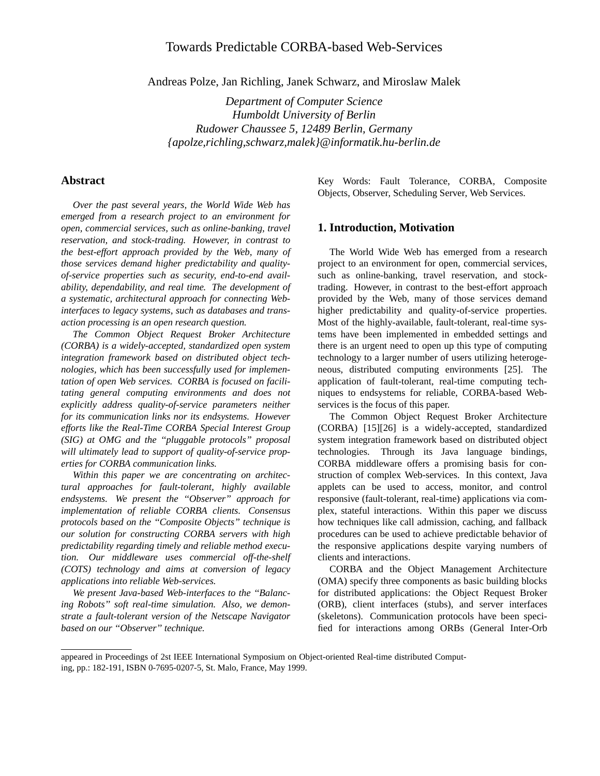# To wards Predictable CORBA-based Web-Services

Andreas Polze, Jan Richling, Janek Schwarz, and Miroslaw Malek

*Department of Computer Science Humboldt University of Berlin Rudower Chaussee 5, 12489 Berlin, Germany {apolze,richling,schwarz,malek}@informatik.hu-berlin.de*

## **Abstract**

*Over the past several years, the World Wide Web has emerged from a research project to an environment for open, commercial services, such as online-banking, travel reservation, and stock-trading. However, in contrast to the best-effort approach pro vided by the Web, many of those services demand higher predictability and qualityof-service properties such as security, end-to-end availability, dependability, and real time. The development of a systematic, architectural approach for connecting Webinterfaces to legacy systems, such as databases and transaction processing is an open research question.*

*The Common Object Request Broker Architecture (CORBA) is a widely-accepted, standardized open system integration framework based on distributed object technologies, which has been successfully used for implementation of open Web services. CORBA is focused on facilitating general computing environments and does not explicitly address quality-of-service parameters neither for its communication links nor its endsystems. However efforts like the Real-Time CORBA Special Interest Group (SIG) at OMG and the ''pluggable protocols'' proposal will ultimately lead to support of quality-of-service properties for CORBA communication links.*

*Within this paper we are concentrating on architectural approaches for fault-tolerant, highly available endsystems. We present the ''Observer'' approach for implementation of reliable CORBA clients. Consensus protocols based on the ''Composite Objects'' technique is our solution for constructing CORBA servers with high predictability regarding timely and reliable method execution. Our middleware uses commercial off-the-shelf (COTS) technology and aims at conversion of legacy applications into reliable Web-services.*

*We present Java-based Web-interfaces to the ''Balancing Robots'' soft real-time simulation. Also, we demonstrate a fault-tolerant version of the Netscape Navigator based on our ''Observer'' technique.*

Key Words: Fault Tolerance, CORBA, Composite Objects, Observer, Scheduling Server, Web Services.

### **1. Introduction, Motivation**

The World Wide Web has emerged from a research project to an environment for open, commercial services, such as online-banking, travel reservation, and stocktrading. However, in contrast to the best-effort approach provided by the Web, many of those services demand higher predictability and quality-of-service properties. Most of the highly-available, fault-tolerant, real-time systems have been implemented in embedded settings and there is an urgent need to open up this type of computing technology to a larger number of users utilizing heterogeneous, distributed computing environments [25]. The application of fault-tolerant, real-time computing techniques to endsystems for reliable, CORBA-based Webservices is the focus of this paper.

The Common Object Request Broker Architecture (CORBA) [15][26] is a widely-accepted, standardized system integration framework based on distributed object technologies. Through its Java language bindings, CORBA middleware offers a promising basis for construction of complex Web-services. In this context, Java applets can be used to access, monitor, and control responsive (fault-tolerant, real-time) applications via complex, stateful interactions. Within this paper we discuss how techniques like call admission, caching, and fallback procedures can be used to achieve predictable behavior of the responsive applications despite varying numbers of clients and interactions.

CORBA and the Object Management Architecture (OMA) specify three components as basic building blocks for distributed applications: the Object Request Broker (ORB), client interfaces (stubs), and server interfaces (skeletons). Communication protocols have been specified for interactions among ORBs (General Inter-Orb

appeared in Proceedings of 2st IEEE International Symposium on Object-oriented Real-time distributed Computing, pp.: 182-191, ISBN 0-7695-0207-5, St. Malo, France, May 1999.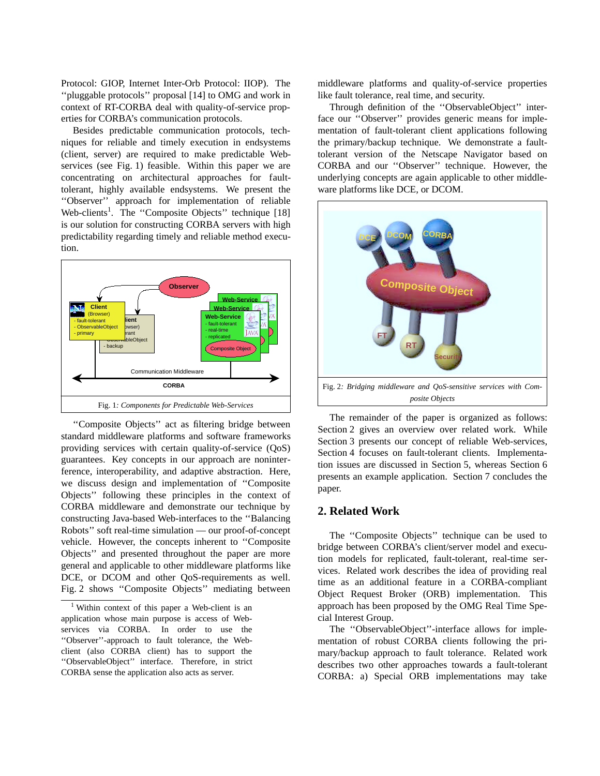Protocol: GIOP, Internet Inter-Orb Protocol: IIOP). The ''pluggable protocols'' proposal [14] to OMG and work in context of RT-CORBA deal with quality-of-service properties for CORBA's communication protocols.

Besides predictable communication protocols, techniques for reliable and timely execution in endsystems (client, server) are required to make predictable Webservices (see Fig. 1) feasible. Within this paper we are concentrating on architectural approaches for faulttolerant, highly available endsystems. We present the ''Observer'' approach for implementation of reliable Web-clients<sup>1</sup>. The "Composite Objects" technique [18] is our solution for constructing CORBA servers with high predictability regarding timely and reliable method execution.



''Composite Objects'' act as filtering bridge between standard middleware platforms and software frameworks providing services with certain quality-of-service (QoS) guarantees. Key concepts in our approach are noninterference, interoperability, and adaptive abstraction. Here, we discuss design and implementation of ''Composite Objects'' following these principles in the context of CORBA middleware and demonstrate our technique by constructing Java-based Web-interfaces to the ''Balancing Robots'' soft real-time simulation — our proof-of-concept vehicle. However, the concepts inherent to ''Composite Objects'' and presented throughout the paper are more general and applicable to other middleware platforms like DCE, or DCOM and other QoS-requirements as well. Fig. 2 shows ''Composite Objects'' mediating between middleware platforms and quality-of-service properties like fault tolerance, real time, and security.

Through definition of the ''ObservableObject'' interface our ''Observer'' provides generic means for implementation of fault-tolerant client applications following the primary/backup technique. We demonstrate a faulttolerant version of the Netscape Navigator based on CORBA and our ''Observer'' technique. However, the underlying concepts are again applicable to other middleware platforms like DCE, or DCOM.



The remainder of the paper is organized as follows: Section 2 gives an overview over related work. While Section 3 presents our concept of reliable Web-services, Section 4 focuses on fault-tolerant clients. Implementation issues are discussed in Section 5, whereas Section 6 presents an example application. Section 7 concludes the paper.

#### **2. Related Work**

The ''Composite Objects'' technique can be used to bridge between CORBA's client/server model and execution models for replicated, fault-tolerant, real-time services. Related work describes the idea of providing real time as an additional feature in a CORBA-compliant Object Request Broker (ORB) implementation. This approach has been proposed by the OMG Real Time Special Interest Group.

The ''ObservableObject''-interface allows for implementation of robust CORBA clients following the primary/backup approach to fault tolerance. Related work describes two other approaches towards a fault-tolerant CORBA: a) Special ORB implementations may take

 $1$  Within context of this paper a Web-client is an application whose main purpose is access of Webservices via CORBA. In order to use the ''Observer''-approach to fault tolerance, the Webclient (also CORBA client) has to support the ''ObservableObject'' interface. Therefore, in strict CORBA sense the application also acts as server.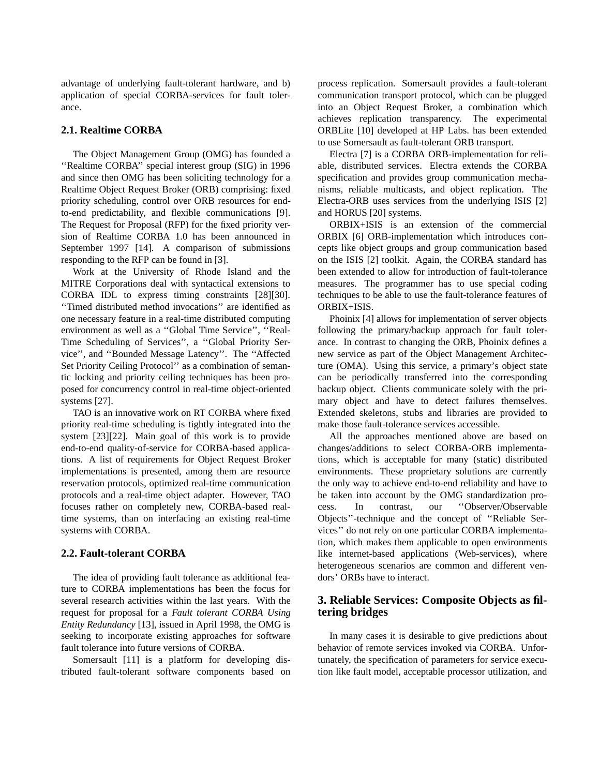advantage of underlying fault-tolerant hardware, and b) application of special CORBA-services for fault tolerance.

### **2.1. Realtime CORBA**

The Object Management Group (OMG) has founded a ''Realtime CORBA' ' special interest group (SIG) in 1996 and since then OMG has been soliciting technology for a Realtime Object Request Broker (ORB) comprising: fixed priority scheduling, control over ORB resources for endto-end predictability, and flexible communications [9]. The Request for Proposal (RFP) for the fixed priority version of Realtime CORBA 1.0 has been announced in September 1997 [14]. A comparison of submissions responding to the RFP can be found in [3].

Work at the University of Rhode Island and the MITRE Corporations deal with syntactical extensions to CORBA IDL to express timing constraints [28][30]. ''Timed distributed method invocations'' are identified as one necessary feature in a real-time distributed computing environment as well as a ''Global Time Service'', ''Real-Time Scheduling of Services'', a ''Global Priority Service'', and ''Bounded Message Latency''. The ''Affected Set Priority Ceiling Protocol" as a combination of semantic locking and priority ceiling techniques has been proposed for concurrency control in real-time object-oriented systems [27].

TAO is an innovative work on RT CORBA where fixed priority real-time scheduling is tightly integrated into the system [23][22]. Main goal of this work is to provide end-to-end quality-of-service for CORBA-based applications. A list of requirements for Object Request Broker implementations is presented, among them are resource reservation protocols, optimized real-time communication protocols and a real-time object adapter. However, TAO focuses rather on completely new, CORBA-based realtime systems, than on interfacing an existing real-time systems with CORBA.

#### **2.2. Fault-tolerant CORBA**

The idea of providing fault tolerance as additional feature to CORBA implementations has been the focus for several research activities within the last years. With the request for proposal for a *Fault tolerant CORBA Using Entity Redundancy* [13], issued in April 1998, the OMG is seeking to incorporate existing approaches for software fault tolerance into future versions of CORBA.

Somersault [11] is a platform for developing distributed fault-tolerant software components based on process replication. Somersault provides a fault-tolerant communication transport protocol, which can be plugged into an Object Request Broker, a combination which achieves replication transparency. The experimental ORBLite [10] developed at HP Labs. has been extended to use Somersault as fault-tolerant ORB transport.

Electra [7] is a CORBA ORB-implementation for reliable, distributed services. Electra extends the CORBA specification and provides group communication mechanisms, reliable multicasts, and object replication. The Electra-ORB uses services from the underlying ISIS [2] and HORUS [20] systems.

ORBIX+ISIS is an extension of the commercial ORBIX [6] ORB-implementation which introduces concepts like object groups and group communication based on the ISIS [2] toolkit. Again, the CORBA standard has been extended to allow for introduction of fault-tolerance measures. The programmer has to use special coding techniques to be able to use the fault-tolerance features of ORBIX+ISIS.

Phoinix [4] allows for implementation of server objects following the primary/backup approach for fault tolerance. In contrast to changing the ORB, Phoinix defines a new service as part of the Object Management Architecture (OMA). Using this service, a primary's object state can be periodically transferred into the corresponding backup object. Clients communicate solely with the primary object and have to detect failures themselves. Extended skeletons, stubs and libraries are provided to make those fault-tolerance services accessible.

All the approaches mentioned above are based on changes/additions to select CORBA-ORB implementations, which is acceptable for many (static) distributed environments. These proprietary solutions are currently the only way to achieve end-to-end reliability and have to be taken into account by the OMG standardization process. In contrast, our ''Observer/Observable Objects''-technique and the concept of ''Reliable Services'' do not rely on one particular CORBA implementation, which makes them applicable to open environments like internet-based applications (Web-services), where heterogeneous scenarios are common and different vendors' ORBs have to interact.

## **3. Reliable Services: Composite Objects as filtering bridges**

In many cases it is desirable to give predictions about behavior of remote services invoked via CORBA. Unfortunately, the specification of parameters for service execution like fault model, acceptable processor utilization, and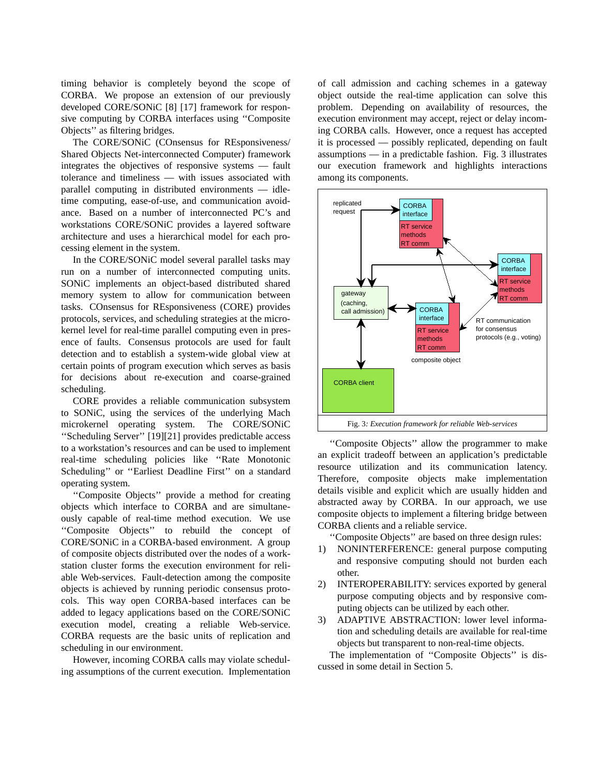timing behavior is completely beyond the scope of CORBA. We propose an extension of our previously developed CORE/SONiC [8] [17] framework for responsive computing by CORBA interfaces using ''Composite Objects'' as filtering bridges.

The CORE/SONiC (COnsensus for REsponsiveness/ Shared Objects Net-interconnected Computer) framework integrates the objectives of responsive systems — fault tolerance and timeliness — with issues associated with parallel computing in distributed environments — idletime computing, ease-of-use, and communication avoidance. Based on a number of interconnected PC's and workstations CORE/SONiC provides a layered software architecture and uses a hierarchical model for each processing element in the system.

In the CORE/SONiC model several parallel tasks may run on a number of interconnected computing units. SONiC implements an object-based distributed shared memory system to allow for communication between tasks. COnsensus for REsponsiveness (CORE) provides protocols, services, and scheduling strategies at the microkernel level for real-time parallel computing even in presence of faults. Consensus protocols are used for fault detection and to establish a system-wide global view at certain points of program execution which serves as basis for decisions about re-execution and coarse-grained scheduling.

CORE provides a reliable communication subsystem to SONiC, using the services of the underlying Mach microkernel operating system. The CORE/SONiC ''Scheduling Server'' [19][21] provides predictable access to a workstation's resources and can be used to implement real-time scheduling policies like ''Rate Monotonic Scheduling'' or ''Earliest Deadline First'' on a standard operating system.

''Composite Objects'' provide a method for creating objects which interface to CORBA and are simultaneously capable of real-time method execution. We use ''Composite Objects'' to rebuild the concept of CORE/SONiC in a CORBA-based environment. A group of composite objects distributed over the nodes of a workstation cluster forms the execution environment for reliable Web-services. Fault-detection among the composite objects is achieved by running periodic consensus protocols. This way open CORBA-based interfaces can be added to legacy applications based on the CORE/SONiC execution model, creating a reliable Web-service. CORBA requests are the basic units of replication and scheduling in our environment.

However, incoming CORBA calls may violate scheduling assumptions of the current execution. Implementation of call admission and caching schemes in a gateway object outside the real-time application can solve this problem. Depending on availability of resources, the execution environment may accept, reject or delay incoming CORBA calls. However, once a request has accepted it is processed — possibly replicated, depending on fault assumptions — in a predictable fashion. Fig. 3 illustrates our execution framework and highlights interactions among its components.



''Composite Objects'' allow the programmer to make an explicit tradeoff between an application's predictable resource utilization and its communication latency. Therefore, composite objects make implementation details visible and explicit which are usually hidden and abstracted away by CORBA. In our approach, we use composite objects to implement a filtering bridge between CORBA clients and a reliable service.

''Composite Objects'' are based on three design rules:

- 1) NONINTERFERENCE: general purpose computing and responsive computing should not burden each other.
- 2) INTEROPERABILITY: services exported by general purpose computing objects and by responsive computing objects can be utilized by each other.
- 3) ADAPTIVE ABSTRACTION: lower level information and scheduling details are available for real-time objects but transparent to non-real-time objects.

The implementation of ''Composite Objects'' is discussed in some detail in Section 5.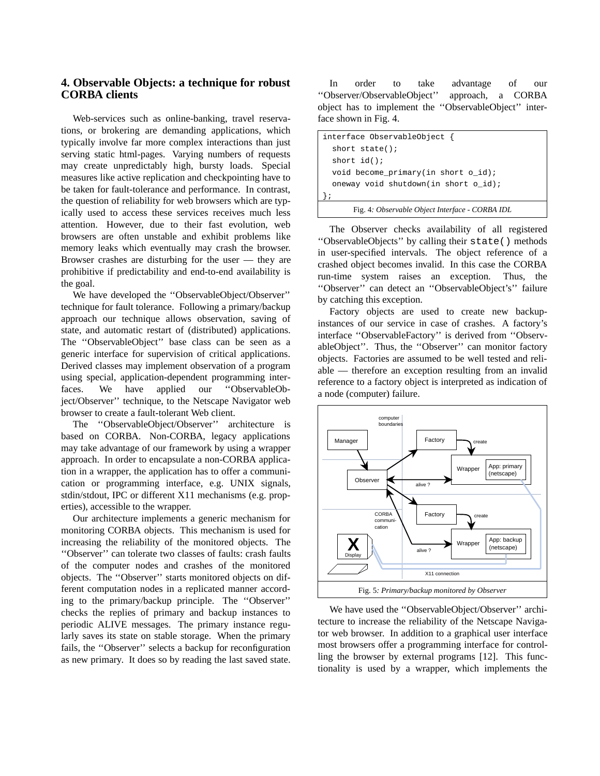## **4. Observable Objects: a technique for robust CORBA clients**

Web-services such as online-banking, travel reservations, or brokering are demanding applications, which typically involve far more complex interactions than just serving static html-pages. Varying numbers of requests may create unpredictably high, bursty loads. Special measures like active replication and checkpointing have to be taken for fault-tolerance and performance. In contrast, the question of reliability for web browsers which are typically used to access these services receives much less attention. However, due to their fast evolution, web browsers are often unstable and exhibit problems like memory leaks which eventually may crash the browser. Browser crashes are disturbing for the user — they are prohibitive if predictability and end-to-end availability is the goal.

We have developed the "ObservableObject/Observer" technique for fault tolerance. Following a primary/backup approach our technique allows observation, saving of state, and automatic restart of (distributed) applications. The ''ObservableObject'' base class can be seen as a generic interface for supervision of critical applications. Derived classes may implement observation of a program using special, application-dependent programming interfaces. We have applied our "ObservableObject/Observer'' technique, to the Netscape Navigator web browser to create a fault-tolerant Web client.

The ''ObservableObject/Observer'' architecture is based on CORBA. Non-CORBA, legacy applications may take advantage of our framework by using a wrapper approach. In order to encapsulate a non-CORBA application in a wrapper, the application has to offer a communication or programming interface, e.g. UNIX signals, stdin/stdout, IPC or different X11 mechanisms (e.g. properties), accessible to the wrapper.

Our architecture implements a generic mechanism for monitoring CORBA objects. This mechanism is used for increasing the reliability of the monitored objects. The ''Observer'' can tolerate two classes of faults: crash faults of the computer nodes and crashes of the monitored objects. The ''Observer'' starts monitored objects on different computation nodes in a replicated manner according to the primary/backup principle. The ''Observer'' checks the replies of primary and backup instances to periodic ALIVE messages. The primary instance regularly saves its state on stable storage. When the primary fails, the ''Observer'' selects a backup for reconfiguration as new primary. It does so by reading the last saved state.

In order to take advantage of our ''Observer/ObservableObject'' approach, a CORBA object has to implement the ''ObservableObject'' interface shown in Fig. 4.

| interface ObservableObject {                    |
|-------------------------------------------------|
| short $state()$ ;                               |
| short $id()$ ;                                  |
| void become primary (in short o id);            |
| oneway void shutdown(in short o id);            |
|                                                 |
| Fig. 4: Observable Object Interface - CORBA IDL |

The Observer checks availability of all registered ''ObservableObjects'' by calling their state() methods in user-specified intervals. The object reference of a crashed object becomes invalid. In this case the CORBA run-time system raises an exception. Thus, the ''Observer'' can detect an ''ObservableObject's'' failure by catching this exception.

Factory objects are used to create new backupinstances of our service in case of crashes. A factory's interface ''ObservableFactory'' is derived from ''ObservableObject''. Thus, the ''Observer'' can monitor factory objects. Factories are assumed to be well tested and reliable — therefore an exception resulting from an invalid reference to a factory object is interpreted as indication of a node (computer) failure.



We have used the "ObservableObject/Observer" architecture to increase the reliability of the Netscape Navigator web browser. In addition to a graphical user interface most browsers offer a programming interface for controlling the browser by external programs [12]. This functionality is used by a wrapper, which implements the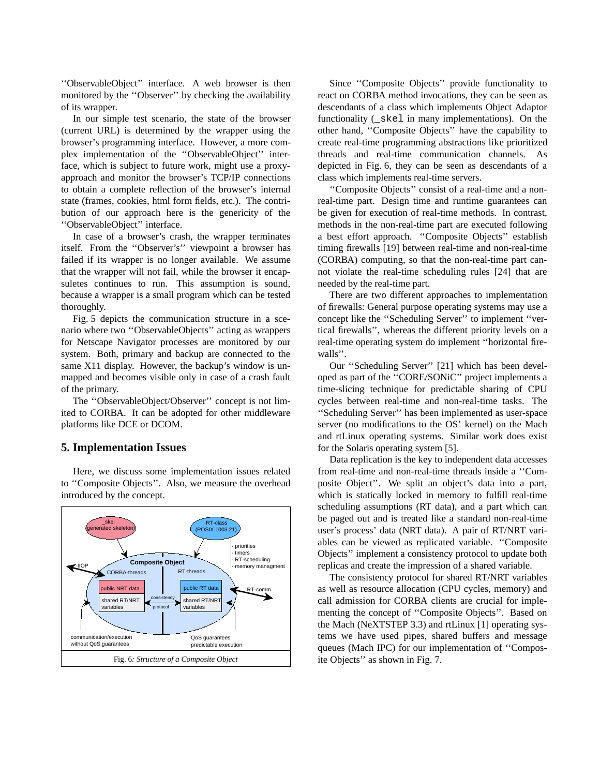"ObservableObject" interface. A web browser is then monitored by the ''Observer'' by checking the availability of its wrapper.

In our simple test scenario, the state of the browser (current URL) is determined by the wrapper using the browser's programming interface. However, a more complex implementation of the ''ObservableObject'' interface, which is subject to future work, might use a proxyapproach and monitor the browser's TCP/IP connections to obtain a complete reflection of the browser's internal state (frames, cookies, html form fields, etc.). The contribution of our approach here is the genericity of the ''ObservableObject'' interface.

In case of a browser's crash, the wrapper terminates itself. From the ''Observer's'' viewpoint a browser has failed if its wrapper is no longer available. We assume that the wrapper will not fail, while the browser it encapsuletes continues to run. This assumption is sound, because a wrapper is a small program which can be tested thoroughly.

Fig. 5 depicts the communication structure in a scenario where two ''ObservableObjects'' acting as wrappers for Netscape Navigator processes are monitored by our system. Both, primary and backup are connected to the same  $X11$  display. However, the backup's window is unmapped and becomes visible only in case of a crash fault of the primary.

The ''ObservableObject/Observer'' concept is not limited to CORBA. It can be adopted for other middleware platforms like DCE or DCOM.

## **5. Implementation Issues**

Here, we discuss some implementation issues related to ''Composite Objects''. Also, we measure the overhead introduced by the concept.



Since ''Composite Objects'' provide functionality to react on CORBA method invocations, they can be seen as descendants of a class which implements Object Adaptor functionality (skel in many implementations). On the other hand, "Composite Objects" have the capability to create real-time programming abstractions like prioritized threads and real-time communication channels. As depicted in Fig. 6, they can be seen as descendants of a class which implements real-time servers.

''Composite Objects'' consist of a real-time and a nonreal-time part. Design time and runtime guarantees can be given for execution of real-time methods. In contrast, methods in the non-real-time part are executed following a best effort approach. ''Composite Objects'' establish timing firewalls [19] between real-time and non-real-time (CORBA) computing, so that the non-real-time part cannot violate the real-time scheduling rules [24] that are needed by the real-time part.

There are two different approaches to implementation of firewalls: General purpose operating systems may use a concept like the ''Scheduling Server'' to implement ''vertical firewalls'', whereas the different priority levels on a real-time operating system do implement ''horizontal firewalls''.

Our "Scheduling Server" [21] which has been developed as part of the ''CORE/SONiC'' project implements a time-slicing technique for predictable sharing of CPU cycles between real-time and non-real-time tasks. The ''Scheduling Server'' has been implemented as user-space server (no modifications to the OS' kernel) on the Mach and rtLinux operating systems. Similar work does exist for the Solaris operating system [5].

Data replication is the key to independent data accesses from real-time and non-real-time threads inside a ''Composite Object''. We split an object's data into a part, which is statically locked in memory to fulfill real-time scheduling assumptions (RT data), and a part which can be paged out and is treated like a standard non-real-time user's process' data (NRT data). A pair of RT/NRT variables can be viewed as replicated variable. ''Composite Objects'' implement a consistency protocol to update both replicas and create the impression of a shared variable.

The consistency protocol for shared RT/NRT variables as well as resource allocation (CPU cycles, memory) and call admission for CORBA clients are crucial for implementing the concept of ''Composite Objects''. Based on the Mach (NeXTSTEP 3.3) and rtLinux [1] operating systems we have used pipes, shared buffers and message queues (Mach IPC) for our implementation of ''Composite Objects'' as shown in Fig. 7.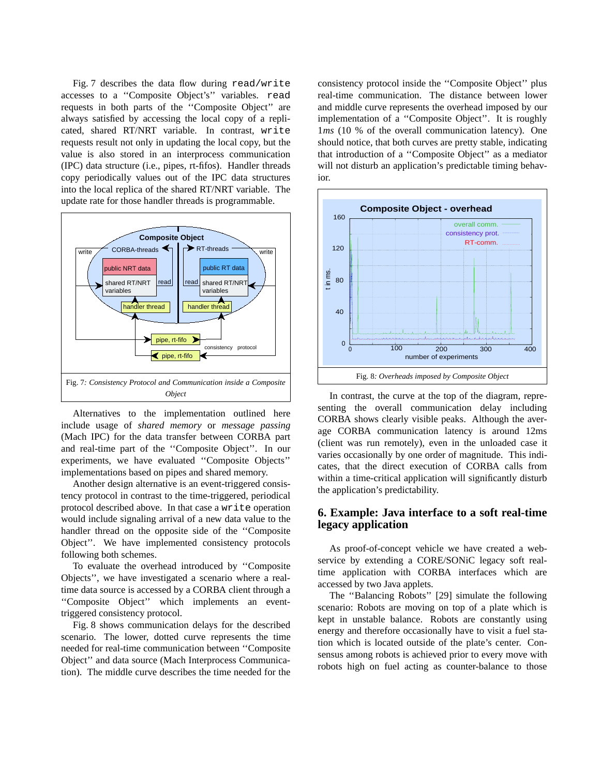Fig. 7 describes the data flow during read/write accesses to a ''Composite Object's'' variables. read requests in both parts of the ''Composite Object'' are always satisfied by accessing the local copy of a replicated, shared RT/NRT variable. In contrast, write requests result not only in updating the local copy, but the value is also stored in an interprocess communication (IPC) data structure (i.e., pipes, rt-fifos). Handler threads copy periodically values out of the IPC data structures into the local replica of the shared RT/NRT variable. The update rate for those handler threads is programmable.



Alternatives to the implementation outlined here include usage of *shared memory* or *message passing* (Mach IPC) for the data transfer between CORBA part and real-time part of the ''Composite Object''. In our experiments, we have evaluated ''Composite Objects'' implementations based on pipes and shared memory.

Another design alternative is an event-triggered consistency protocol in contrast to the time-triggered, periodical protocol described above. In that case a write operation would include signaling arrival of a new data value to the handler thread on the opposite side of the ''Composite Object". We have implemented consistency protocols following both schemes.

To evaluate the overhead introduced by ''Composite Objects", we have investigated a scenario where a realtime data source is accessed by a CORBA client through a ''Composite Object'' which implements an eventtriggered consistency protocol.

Fig. 8 shows communication delays for the described scenario. The lower, dotted curve represents the time needed for real-time communication between ''Composite Object'' and data source (Mach Interprocess Communication). The middle curve describes the time needed for the consistency protocol inside the ''Composite Object'' plus real-time communication. The distance between lower and middle curve represents the overhead imposed by our implementation of a ''Composite Object''. It is roughly 1*ms* (10 % of the overall communication latency). One should notice, that both curves are pretty stable, indicating that introduction of a ''Composite Object'' as a mediator will not disturb an application's predictable timing behavior.



In contrast, the curve at the top of the diagram, representing the overall communication delay including CORBA shows clearly visible peaks. Although the average CORBA communication latency is around 12ms (client was run remotely), even in the unloaded case it varies occasionally by one order of magnitude. This indicates, that the direct execution of CORBA calls from within a time-critical application will significantly disturb the application's predictability.

## **6. Example: Java interface to a soft real-time legacy application**

As proof-of-concept vehicle we have created a webservice by extending a CORE/SONiC legacy soft realtime application with CORBA interfaces which are accessed by two Java applets.

The ''Balancing Robots'' [29] simulate the following scenario: Robots are moving on top of a plate which is kept in unstable balance. Robots are constantly using energy and therefore occasionally have to visit a fuel station which is located outside of the plate's center. Consensus among robots is achieved prior to every move with robots high on fuel acting as counter-balance to those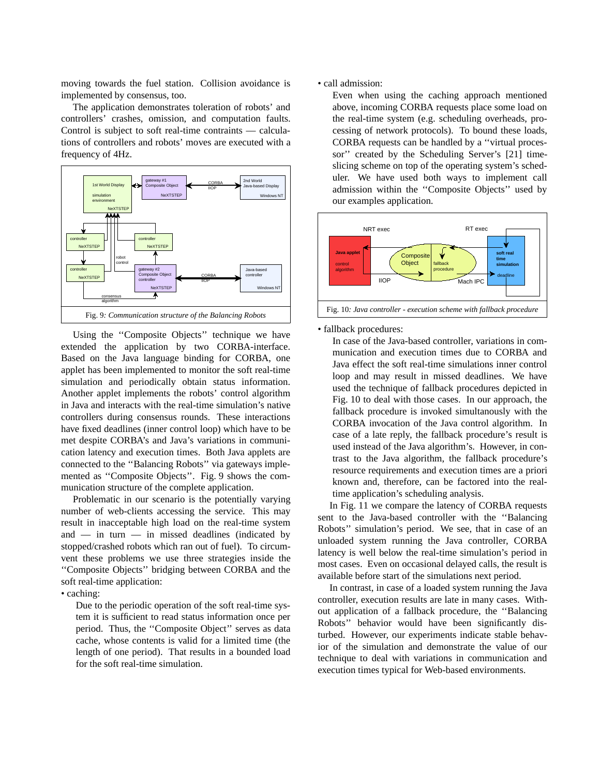moving towards the fuel station. Collision avoidance is implemented by consensus, too.

The application demonstrates toleration of robots' and controllers' crashes, omission, and computation faults. Control is subject to soft real-time contraints — calculations of controllers and robots' moves are executed with a frequency of 4Hz.



Using the ''Composite Objects'' technique we have extended the application by two CORBA-interface. Based on the Java language binding for CORBA, one applet has been implemented to monitor the soft real-time simulation and periodically obtain status information. Another applet implements the robots' control algorithm in Java and interacts with the real-time simulation's native controllers during consensus rounds. These interactions have fixed deadlines (inner control loop) which have to be met despite CORBA's and Java's variations in communication latency and execution times. Both Java applets are connected to the ''Balancing Robots'' via gateways implemented as ''Composite Objects''. Fig. 9 shows the communication structure of the complete application.

Problematic in our scenario is the potentially varying number of web-clients accessing the service. This may result in inacceptable high load on the real-time system and — in turn — in missed deadlines (indicated by stopped/crashed robots which ran out of fuel). To circumvent these problems we use three strategies inside the ''Composite Objects'' bridging between CORBA and the soft real-time application:

• caching:

Due to the periodic operation of the soft real-time system it is sufficient to read status information once per period. Thus, the ''Composite Object'' serves as data cache, whose contents is valid for a limited time (the length of one period). That results in a bounded load for the soft real-time simulation.

• call admission:

Even when using the caching approach mentioned above, incoming CORBA requests place some load on the real-time system (e.g. scheduling overheads, processing of network protocols). To bound these loads, CORBA requests can be handled by a ''virtual processor" created by the Scheduling Server's [21] timeslicing scheme on top of the operating system's scheduler. We have used both ways to implement call admission within the ''Composite Objects'' used by our examples application.



• fallback procedures:

In case of the Java-based controller, variations in communication and execution times due to CORBA and Java effect the soft real-time simulations inner control loop and may result in missed deadlines. We have used the technique of fallback procedures depicted in Fig. 10 to deal with those cases. In our approach, the fallback procedure is invoked simultanously with the CORBA invocation of the Java control algorithm. In case of a late reply, the fallback procedure's result is used instead of the Java algorithm's. However, in contrast to the Java algorithm, the fallback procedure's resource requirements and execution times are a priori known and, therefore, can be factored into the realtime application's scheduling analysis.

In Fig. 11 we compare the latency of CORBA requests sent to the Java-based controller with the ''Balancing Robots'' simulation's period. We see, that in case of an unloaded system running the Java controller, CORBA latency is well below the real-time simulation's period in most cases. Even on occasional delayed calls, the result is available before start of the simulations next period.

In contrast, in case of a loaded system running the Java controller, execution results are late in many cases. Without application of a fallback procedure, the ''Balancing Robots'' behavior would have been significantly disturbed. However, our experiments indicate stable behavior of the simulation and demonstrate the value of our technique to deal with variations in communication and execution times typical for Web-based environments.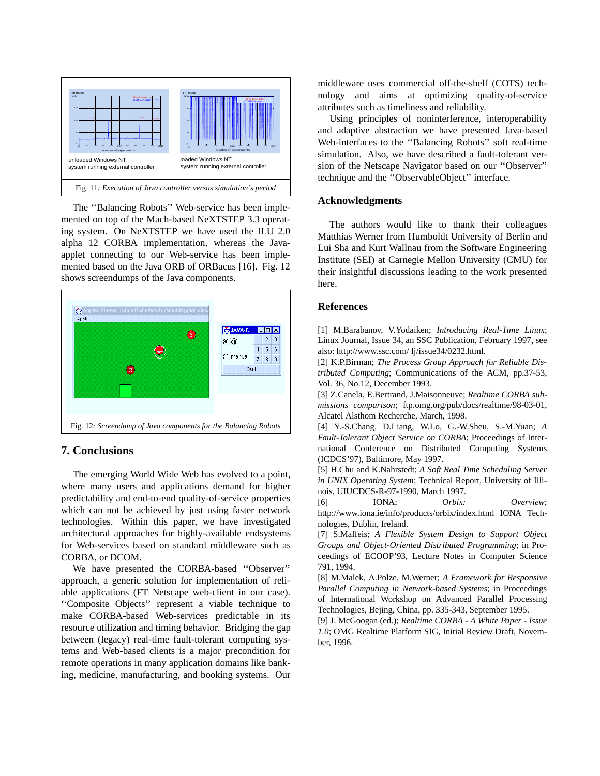

The ''Balancing Robots'' Web-service has been implemented on top of the Mach-based NeXTSTEP 3.3 operating system. On NeXTSTEP we have used the ILU 2.0 alpha 12 CORBA implementation, whereas the Javaapplet connecting to our Web-service has been implemented based on the Java ORB of ORBacus [16]. Fig. 12 shows screendumps of the Java components.



## **7. Conclusions**

The emerging World Wide Web has evolved to a point, where many users and applications demand for higher predictability and end-to-end quality-of-service properties which can not be achieved by just using faster network technologies. Within this paper, we have investigated architectural approaches for highly-available endsystems for Web-services based on standard middleware such as CORBA, or DCOM.

We have presented the CORBA-based "Observer" approach, a generic solution for implementation of reliable applications (FT Netscape web-client in our case). ''Composite Objects'' represent a viable technique to make CORBA-based Web-services predictable in its resource utilization and timing behavior. Bridging the gap between (legacy) real-time fault-tolerant computing systems and Web-based clients is a major precondition for remote operations in many application domains like banking, medicine, manufacturing, and booking systems. Our middleware uses commercial off-the-shelf (COTS) technology and aims at optimizing quality-of-service attributes such as timeliness and reliability.

Using principles of noninterference, interoperability and adaptive abstraction we have presented Java-based Web-interfaces to the ''Balancing Robots'' soft real-time simulation. Also, we have described a fault-tolerant version of the Netscape Navigator based on our ''Observer'' technique and the ''ObservableObject'' interface.

#### **Acknowledgments**

The authors would like to thank their colleagues Matthias Werner from Humboldt University of Berlin and Lui Sha and Kurt Wallnau from the Software Engineering Institute (SEI) at Carnegie Mellon University (CMU) for their insightful discussions leading to the work presented here.

## **References**

[1] M.Barabanov, V.Yodaiken; *Introducing Real-Time Linux*; Linux Journal, Issue 34, an SSC Publication, February 1997, see also: http://www.ssc.com/ lj/issue34/0232.html.

[2] K.P.Birman; *The Process Group Approach for Reliable Distributed Computing*; Communications of the ACM, pp.37-53, Vol. 36, No.12, December 1993.

[3] Z.Canela, E.Bertrand, J.Maisonneuve; *Realtime CORBA submissions comparison*; ftp.omg.org/pub/docs/realtime/98-03-01, Alcatel Alsthom Recherche, March, 1998.

[4] Y.-S.Chang, D.Liang, W.Lo, G.-W.Sheu, S.-M.Yuan; *A Fault-Tolerant Object Service on CORBA*; Proceedings of International Conference on Distributed Computing Systems (ICDCS'97), Baltimore, May 1997.

[5] H.Chu and K.Nahrstedt; *A Soft Real Time Scheduling Server in UNIX Operating System*; Technical Report, University of Illinois, UIUCDCS-R-97-1990, March 1997.

[6] IONA; *Orbix: Overview*; http://www.iona.ie/info/products/orbix/index.html IONA Technologies, Dublin, Ireland.

[7] S.Maffeis; *A Flexible System Design to Support Object Groups and Object-Oriented Distributed Programming*; in Proceedings of ECOOP'93, Lecture Notes in Computer Science 791, 1994.

[8] M.Malek, A.Polze, M.Werner; *A Framework for Responsive Parallel Computing in Network-based Systems*; in Proceedings of International Workshop on Advanced Parallel Processing Technologies, Bejing, China, pp. 335-343, September 1995.

[9] J. McGoogan (ed.); *Realtime CORBA-AWhite Paper - Issue 1.0*; OMG Realtime Platform SIG, Initial Review Draft, November, 1996.